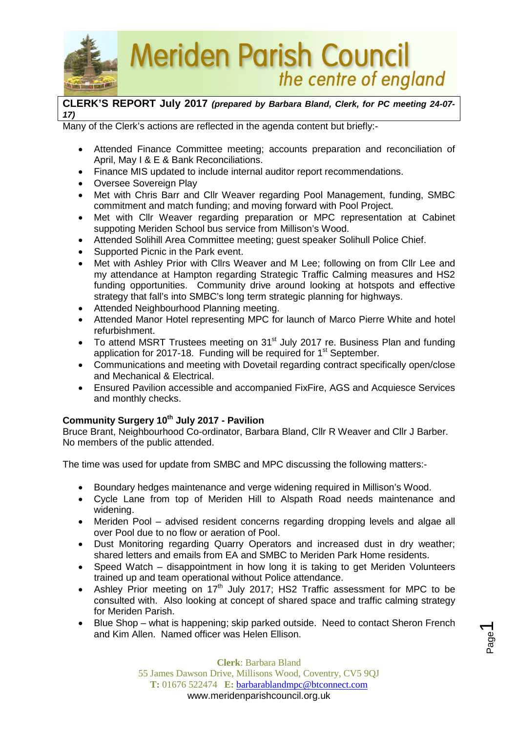

## **CLERK'S REPORT July 2017** *(prepared by Barbara Bland, Clerk, for PC meeting 24-07- 17)*

the centre of england

Many of the Clerk's actions are reflected in the agenda content but briefly:-

- Attended Finance Committee meeting; accounts preparation and reconciliation of April, May I & E & Bank Reconciliations.
- Finance MIS updated to include internal auditor report recommendations.
- Oversee Sovereign Play
- Met with Chris Barr and Cllr Weaver regarding Pool Management, funding, SMBC commitment and match funding; and moving forward with Pool Project.
- Met with Cllr Weaver regarding preparation or MPC representation at Cabinet suppoting Meriden School bus service from Millison's Wood.
- Attended Solihill Area Committee meeting; guest speaker Solihull Police Chief.
- Supported Picnic in the Park event.
- Met with Ashley Prior with Cllrs Weaver and M Lee: following on from Cllr Lee and my attendance at Hampton regarding Strategic Traffic Calming measures and HS2 funding opportunities. Community drive around looking at hotspots and effective strategy that fall's into SMBC's long term strategic planning for highways.
- Attended Neighbourhood Planning meeting.
- Attended Manor Hotel representing MPC for launch of Marco Pierre White and hotel refurbishment.
- To attend MSRT Trustees meeting on 31<sup>st</sup> July 2017 re. Business Plan and funding application for 2017-18. Funding will be required for  $1<sup>st</sup>$  September.
- Communications and meeting with Dovetail regarding contract specifically open/close and Mechanical & Electrical.
- Ensured Pavilion accessible and accompanied FixFire, AGS and Acquiesce Services and monthly checks.

## **Community Surgery 10th July 2017 - Pavilion**

Bruce Brant, Neighbourhood Co-ordinator, Barbara Bland, Cllr R Weaver and Cllr J Barber. No members of the public attended.

The time was used for update from SMBC and MPC discussing the following matters:-

- Boundary hedges maintenance and verge widening required in Millison's Wood.
- Cycle Lane from top of Meriden Hill to Alspath Road needs maintenance and widening.
- Meriden Pool advised resident concerns regarding dropping levels and algae all over Pool due to no flow or aeration of Pool.
- Dust Monitoring regarding Quarry Operators and increased dust in dry weather; shared letters and emails from EA and SMBC to Meriden Park Home residents.
- Speed Watch disappointment in how long it is taking to get Meriden Volunteers trained up and team operational without Police attendance.
- Ashley Prior meeting on  $17<sup>th</sup>$  July 2017; HS2 Traffic assessment for MPC to be consulted with. Also looking at concept of shared space and traffic calming strategy for Meriden Parish.
- Blue Shop what is happening; skip parked outside. Need to contact Sheron French and Kim Allen. Named officer was Helen Ellison.